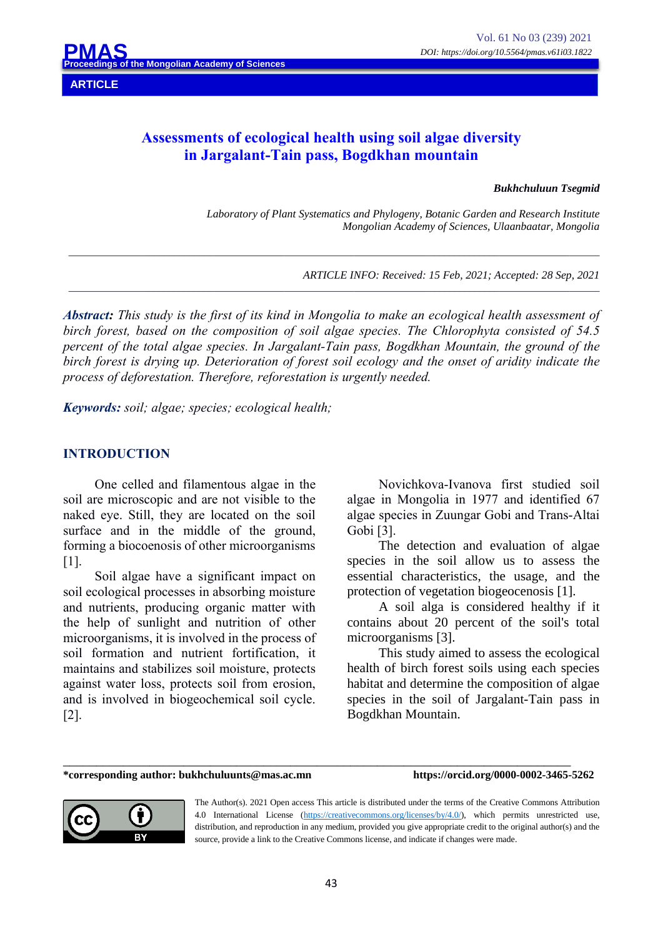**ARTICLE**

## **Assessments of ecological health using soil algae diversity in Jargalant-Tain pass, Bogdkhan mountain**

#### *Bukhchuluun Tsegmid*

*Laboratory of Plant Systematics and Phylogeny, Botanic Garden and Research Institute Mongolian Academy of Sciences, Ulaanbaatar, Mongolia*

*ARTICLE INFO: Received: 15 Feb, 2021; Accepted: 28 Sep, 2021*

*Abstract: This study is the first of its kind in Mongolia to make an ecological health assessment of birch forest, based on the composition of soil algae species. The Chlorophyta consisted of 54.5 percent of the total algae species. In Jargalant-Tain pass, Bogdkhan Mountain, the ground of the birch forest is drying up. Deterioration of forest soil ecology and the onset of aridity indicate the process of deforestation. Therefore, reforestation is urgently needed.*

*\_\_\_\_\_\_\_\_\_\_\_\_\_\_\_\_\_\_\_\_\_\_\_\_\_\_\_\_\_\_\_\_\_\_\_\_\_\_\_\_\_\_\_\_\_\_\_\_\_\_\_\_\_\_\_\_\_\_\_\_\_\_\_\_\_\_\_\_\_\_\_\_\_\_\_\_\_\_\_\_\_\_\_\_\_\_\_\_\_\_\_\_\_\_\_\_\_\_\_\_\_\_\_\_\_\_*

*\_\_\_\_\_\_\_\_\_\_\_\_\_\_\_\_\_\_\_\_\_\_\_\_\_\_\_\_\_\_\_\_\_\_\_\_\_\_\_\_\_\_\_\_\_\_\_\_\_\_\_\_\_\_\_\_\_\_\_\_\_\_\_\_\_\_\_\_\_\_\_\_\_\_\_\_\_\_\_\_\_\_\_\_\_\_\_\_\_\_\_\_\_\_\_\_\_\_\_\_\_\_\_\_\_\_*

*Keywords: soil; algae; species; ecological health;*

#### **INTRODUCTION**

One celled and filamentous algae in the soil are microscopic and are not visible to the naked eye. Still, they are located on the soil surface and in the middle of the ground, forming a biocoenosis of other microorganisms [1].

Soil algae have a significant impact on soil ecological processes in absorbing moisture and nutrients, producing organic matter with the help of sunlight and nutrition of other microorganisms, it is involved in the process of soil formation and nutrient fortification, it maintains and stabilizes soil moisture, protects against water loss, protects soil from erosion, and is involved in biogeochemical soil cycle. [2].

Novichkova-Ivanova first studied soil algae in Mongolia in 1977 and identified 67 algae species in Zuungar Gobi and Trans-Altai Gobi [3].

The detection and evaluation of algae species in the soil allow us to assess the essential characteristics, the usage, and the protection of vegetation biogeocenosis [1].

A soil alga is considered healthy if it contains about 20 percent of the soil's total microorganisms [3].

This study aimed to assess the ecological health of birch forest soils using each species habitat and determine the composition of algae species in the soil of Jargalant-Tain pass in Bogdkhan Mountain.

**\*corresponding author: bukhchuluunts@mas.ac.mn https://orcid.org/0000-0002-3465-5262**



The Author(s). 2021 Open access This article is distributed under the terms of the Creative Commons Attribution 4.0 International License (https://creativecommons.org/licenses/by/4.0/), which permits unrestricted use, distribution, and reproduction in any medium, provided you give appropriate credit to the original author(s) and the source, provide a link to the Creative Commons license, and indicate if changes were made.

\_\_\_\_\_\_\_\_\_\_\_\_\_\_\_\_\_\_\_\_\_\_\_\_\_\_\_\_\_\_\_\_\_\_\_\_\_\_\_\_\_\_\_\_\_\_\_\_\_\_\_\_\_\_\_\_\_\_\_\_\_\_\_\_\_\_\_\_\_\_\_\_\_\_\_\_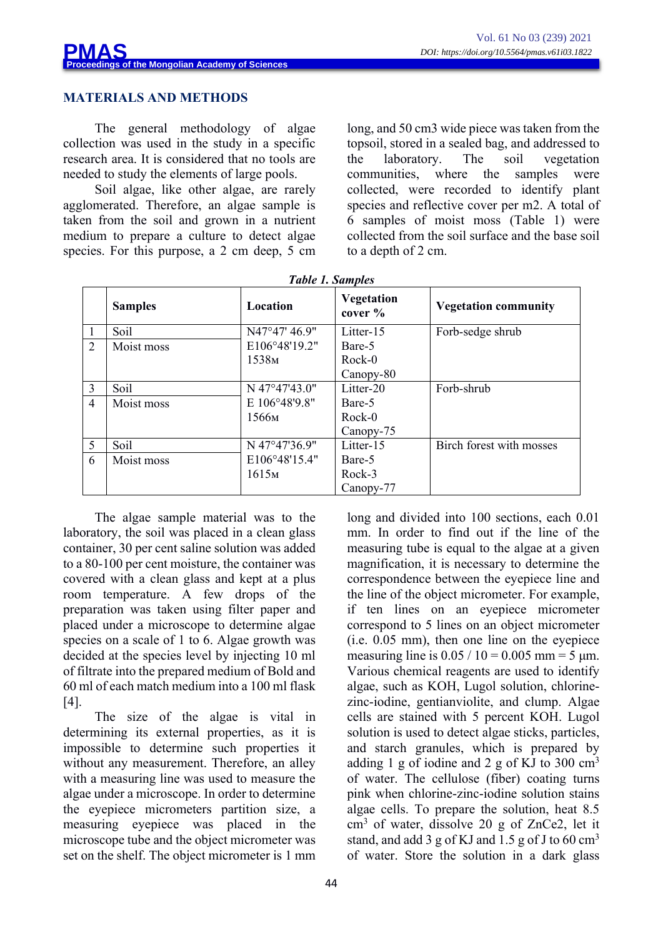#### **MATERIALS AND METHODS**

The general methodology of algae collection was used in the study in a specific research area. It is considered that no tools are needed to study the elements of large pools.

Soil algae, like other algae, are rarely agglomerated. Therefore, an algae sample is taken from the soil and grown in a nutrient medium to prepare a culture to detect algae species. For this purpose, a 2 cm deep, 5 cm long, and 50 cm3 wide piece was taken from the topsoil, stored in a sealed bag, and addressed to the laboratory. The soil vegetation communities, where the samples were collected, were recorded to identify plant species and reflective cover per m2. A total of 6 samples of moist moss (Table 1) were collected from the soil surface and the base soil to a depth of 2 cm.

|                 | rwore 1: Swirpres |               |                              |                             |  |  |  |  |
|-----------------|-------------------|---------------|------------------------------|-----------------------------|--|--|--|--|
|                 | <b>Samples</b>    | Location      | <b>Vegetation</b><br>cover % | <b>Vegetation community</b> |  |  |  |  |
| $\mathbf{1}$    | Soil              | N47°47' 46.9" | Litter-15                    | Forb-sedge shrub            |  |  |  |  |
| 2               | Moist moss        | E106°48'19.2" | Bare-5                       |                             |  |  |  |  |
|                 |                   | 1538м         | Rock-0                       |                             |  |  |  |  |
|                 |                   |               | Canopy-80                    |                             |  |  |  |  |
| $\mathfrak{Z}$  | Soil              | N 47°47'43.0" | Litter-20                    | Forb-shrub                  |  |  |  |  |
| $\overline{4}$  | Moist moss        | E 106°48'9.8" | Bare-5                       |                             |  |  |  |  |
|                 |                   | 1566м         | Rock-0                       |                             |  |  |  |  |
|                 |                   |               | Canopy-75                    |                             |  |  |  |  |
| $5\overline{)}$ | Soil              | N 47°47'36.9" | Litter-15                    | Birch forest with mosses    |  |  |  |  |
| 6               | Moist moss        | E106°48'15.4" | Bare-5                       |                             |  |  |  |  |
|                 |                   | 1615м         | Rock-3                       |                             |  |  |  |  |
|                 |                   |               | Canopy-77                    |                             |  |  |  |  |

*Table 1. Samples*

The algae sample material was to the laboratory, the soil was placed in a clean glass container, 30 per cent saline solution was added to a 80-100 per cent moisture, the container was covered with a clean glass and kept at a plus room temperature. A few drops of the preparation was taken using filter paper and placed under a microscope to determine algae species on a scale of 1 to 6. Algae growth was decided at the species level by injecting 10 ml of filtrate into the prepared medium of Bold and 60 ml of each match medium into a 100 ml flask [4].

The size of the algae is vital in determining its external properties, as it is impossible to determine such properties it without any measurement. Therefore, an alley with a measuring line was used to measure the algae under a microscope. In order to determine the eyepiece micrometers partition size, a measuring eyepiece was placed in the microscope tube and the object micrometer was set on the shelf. The object micrometer is 1 mm measuring tube is equal to the algae at a given magnification, it is necessary to determine the correspondence between the eyepiece line and the line of the object micrometer. For example, if ten lines on an eyepiece micrometer correspond to 5 lines on an object micrometer (i.e. 0.05 mm), then one line on the eyepiece measuring line is  $0.05 / 10 = 0.005$  mm = 5 µm. Various chemical reagents are used to identify algae, such as KOH, Lugol solution, chlorinezinc-iodine, gentianviolite, and clump. Algae cells are stained with 5 percent KOH. Lugol solution is used to detect algae sticks, particles, and starch granules, which is prepared by adding 1 g of iodine and 2 g of KJ to 300  $\text{cm}^3$ of water. The cellulose (fiber) coating turns pink when chlorine-zinc-iodine solution stains algae cells. To prepare the solution, heat 8.5 cm3 of water, dissolve 20 g of ZnCe2, let it stand, and add 3 g of KJ and 1.5 g of J to 60 cm<sup>3</sup> of water. Store the solution in a dark glass

long and divided into 100 sections, each 0.01 mm. In order to find out if the line of the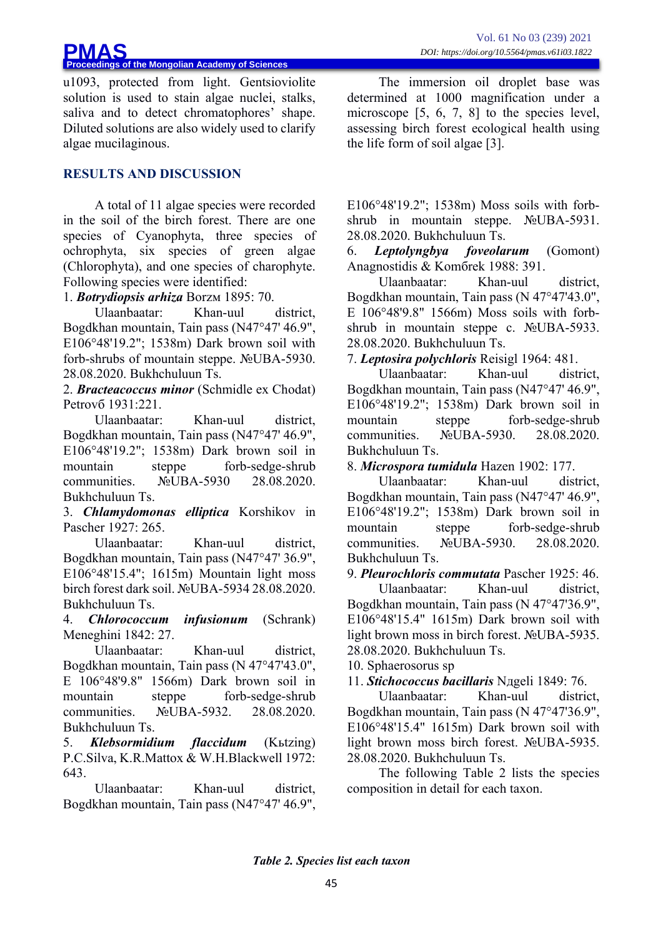u1093, protected from light. Gentsioviolite solution is used to stain algae nuclei, stalks, saliva and to detect chromatophores' shape. Diluted solutions are also widely used to clarify algae mucilaginous.

### **RESULTS AND DISCUSSION**

**PMAS**

A total of 11 algae species were recorded in the soil of the birch forest. There are one species of Cyanophyta, three species of ochrophyta, six species of green algae (Chlorophyta), and one species of charophyte. Following species were identified:

1. **Botrydiopsis arhiza** Borz<sub>M</sub> 1895: 70.

Ulaanbaatar: Khan-uul district, Bogdkhan mountain, Tain pass (N47°47' 46.9", E106°48'19.2"; 1538m) Dark brown soil with forb-shrubs of mountain steppe. №UBA-5930. 28.08.2020. Bukhchuluun Ts.

2. *Bracteacoccus minor* (Schmidle ex Chodat) Petrov<sub>6</sub> 1931:221.

Ulaanbaatar: Khan-uul district, Bogdkhan mountain, Tain pass (N47°47' 46.9", E106°48'19.2"; 1538m) Dark brown soil in mountain steppe forb-sedge-shrub communities. №UBA-5930 28.08.2020. Bukhchuluun Ts.

3. *Chlamydomonas elliptica* Korshikov in Pascher 1927: 265.

Ulaanbaatar: Khan-uul district, Bogdkhan mountain, Tain pass (N47°47' 36.9", E106°48'15.4"; 1615m) Mountain light moss birch forest dark soil. №UBA-5934 28.08.2020. Bukhchuluun Ts.

4. *Chlorococcum infusionum* (Schrank) Meneghini 1842: 27.

Ulaanbaatar: Khan-uul district, Bogdkhan mountain, Tain pass (N 47°47'43.0", E 106°48'9.8" 1566m) Dark brown soil in mountain steppe forb-sedge-shrub communities. №UBA-5932. 28.08.2020. Bukhchuluun Ts.

5. **Klebsormidium flaccidum** (Kbtzing) P.C.Silva, K.R.Mattox & W.H.Blackwell 1972: 643.

Ulaanbaatar: Khan-uul district, Bogdkhan mountain, Tain pass (N47°47' 46.9",

The immersion oil droplet base was determined at 1000 magnification under a microscope  $[5, 6, 7, 8]$  to the species level, assessing birch forest ecological health using the life form of soil algae [3].

E106°48'19.2"; 1538m) Moss soils with forbshrub in mountain steppe. №UBA-5931. 28.08.2020. Bukhchuluun Ts.

6. *Leptolyngbya foveolarum* (Gomont) Anagnostidis & Komórek 1988: 391.

Ulaanbaatar: Khan-uul district, Bogdkhan mountain, Tain pass (N 47°47'43.0", E 106°48'9.8" 1566m) Moss soils with forbshrub in mountain steppe c. No UBA-5933. 28.08.2020. Bukhchuluun Ts.

7. *Leptosira polychloris* Reisigl 1964: 481.

Ulaanbaatar: Khan-uul district, Bogdkhan mountain, Tain pass (N47°47' 46.9", E106°48'19.2"; 1538m) Dark brown soil in mountain steppe forb-sedge-shrub communities. №UBA-5930. 28.08.2020. Bukhchuluun Ts.

8. *Microspora tumidula* Hazen 1902: 177.

Ulaanbaatar: Khan-uul district, Bogdkhan mountain, Tain pass (N47°47' 46.9", E106°48'19.2"; 1538m) Dark brown soil in mountain steppe forb-sedge-shrub communities. №UBA-5930. 28.08.2020. Bukhchuluun Ts.

9. *Pleurochloris commutata* Pascher 1925: 46. Ulaanbaatar: Khan-uul district, Bogdkhan mountain, Tain pass (N 47°47'36.9", E106°48'15.4" 1615m) Dark brown soil with light brown moss in birch forest. №UBA-5935. 28.08.2020. Bukhchuluun Ts.

10. Sphaerosorus sp

11. *Stichococcus bacillaris* Nägeli 1849: 76.

Ulaanbaatar: Khan-uul district, Bogdkhan mountain, Tain pass (N 47°47'36.9", E106°48'15.4" 1615m) Dark brown soil with light brown moss birch forest. №UBA-5935. 28.08.2020. Bukhchuluun Ts.

The following Table 2 lists the species composition in detail for each taxon.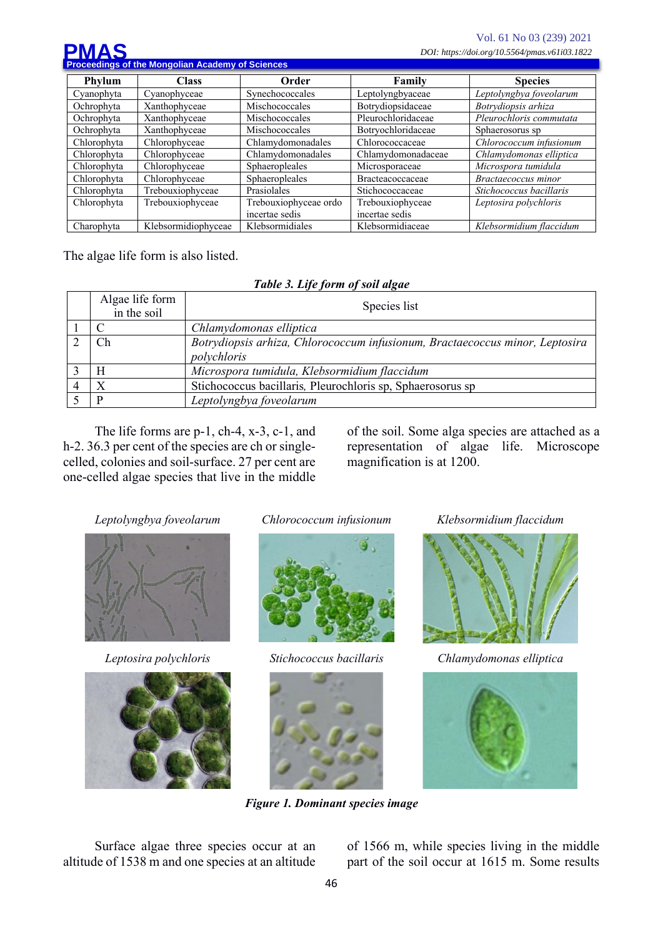**Propolian Academy of Sciences PMAS**

| Phylum      | <b>Class</b>        | Order                 | Family             | <b>Species</b>          |
|-------------|---------------------|-----------------------|--------------------|-------------------------|
| Cyanophyta  | Cyanophyceae        | Synechococcales       | Leptolyngbyaceae   | Leptolyngbya foveolarum |
| Ochrophyta  | Xanthophyceae       | Mischococcales        | Botrydiopsidaceae  | Botrydiopsis arhiza     |
| Ochrophyta  | Xanthophyceae       | Mischococcales        | Pleurochloridaceae | Pleurochloris commutata |
| Ochrophyta  | Xanthophyceae       | Mischococcales        | Botryochloridaceae | Sphaerosorus sp         |
| Chlorophyta | Chlorophyceae       | Chlamydomonadales     | Chlorococcaceae    | Chlorococcum infusionum |
| Chlorophyta | Chlorophyceae       | Chlamydomonadales     | Chlamydomonadaceae | Chlamydomonas elliptica |
| Chlorophyta | Chlorophyceae       | Sphaeropleales        | Microsporaceae     | Microspora tumidula     |
| Chlorophyta | Chlorophyceae       | Sphaeropleales        | Bracteacoccaceae   | Bractaecoccus minor     |
| Chlorophyta | Trebouxiophyceae    | Prasiolales           | Stichococcaceae    | Stichococcus bacillaris |
| Chlorophyta | Trebouxiophyceae    | Trebouxiophyceae ordo | Trebouxiophyceae   | Leptosira polychloris   |
|             |                     | incertae sedis        | incertae sedis     |                         |
| Charophyta  | Klebsormidiophyceae | Klebsormidiales       | Klebsormidiaceae   | Klebsormidium flaccidum |

The algae life form is also listed.

|  | Table 3. Life form of soil algae |  |  |
|--|----------------------------------|--|--|
|--|----------------------------------|--|--|

| Algae life form<br>in the soil | Species list                                                                 |  |
|--------------------------------|------------------------------------------------------------------------------|--|
|                                | Chlamydomonas elliptica                                                      |  |
| Ch                             | Botrydiopsis arhiza, Chlorococcum infusionum, Bractaecoccus minor, Leptosira |  |
|                                | polychloris                                                                  |  |
| H                              | Microspora tumidula, Klebsormidium flaccidum                                 |  |
|                                | Stichococcus bacillaris, Pleurochloris sp, Sphaerosorus sp                   |  |
| P                              | Leptolyngbya foveolarum                                                      |  |

The life forms are p-1, ch-4, x-3, c-1, and h-2. 36.3 per cent of the species are ch or singlecelled, colonies and soil-surface. 27 per cent are one-celled algae species that live in the middle of the soil. Some alga species are attached as a representation of algae life. Microscope magnification is at 1200.





*Leptolyngbya foveolarum Chlorococcum infusionum Klebsormidium flaccidum*





*Figure 1. Dominant species image*



*Leptosira polychloris Stichococcus bacillaris Chlamydomonas elliptica*



Surface algae three species occur at an altitude of 1538 m and one species at an altitude of 1566 m, while species living in the middle part of the soil occur at 1615 m. Some results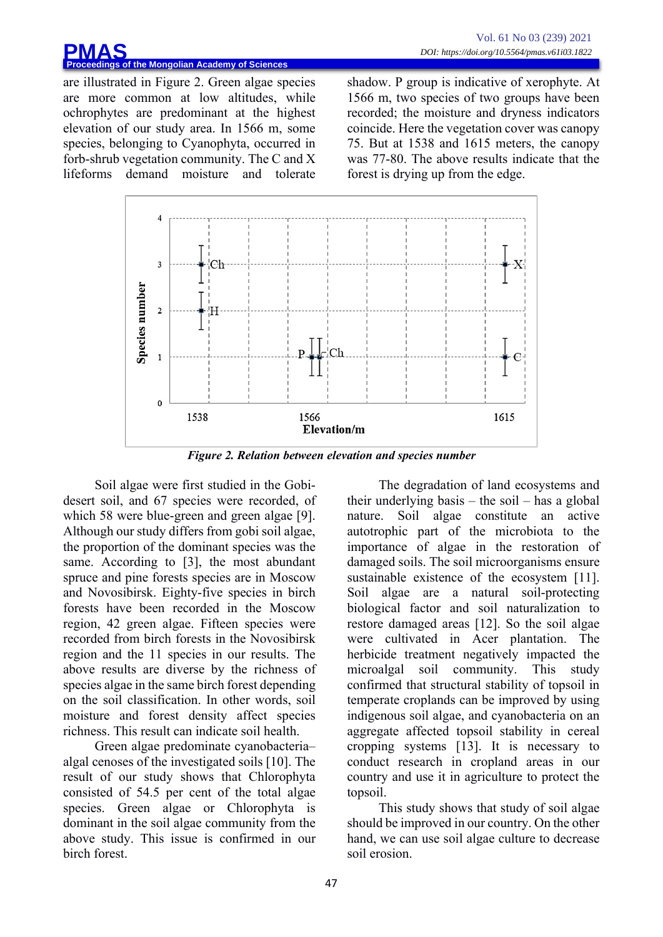# **PMAS**<br>Proceedings of the Mongolian Academy of Sciences

are illustrated in Figure 2. Green algae species are more common at low altitudes, while ochrophytes are predominant at the highest elevation of our study area. In 1566 m, some species, belonging to Cyanophyta, occurred in forb-shrub vegetation community. The C and X lifeforms demand moisture and tolerate shadow. P group is indicative of xerophyte. At 1566 m, two species of two groups have been recorded; the moisture and dryness indicators coincide. Here the vegetation cover was canopy 75. But at 1538 and 1615 meters, the canopy was 77-80. The above results indicate that the forest is drying up from the edge.



*Figure 2. Relation between elevation and species number*

Soil algae were first studied in the Gobidesert soil, and 67 species were recorded, of which 58 were blue-green and green algae [9]. Although our study differs from gobi soil algae, the proportion of the dominant species was the same. According to [3], the most abundant spruce and pine forests species are in Moscow and Novosibirsk. Eighty-five species in birch forests have been recorded in the Moscow region, 42 green algae. Fifteen species were recorded from birch forests in the Novosibirsk region and the 11 species in our results. The above results are diverse by the richness of species algae in the same birch forest depending on the soil classification. In other words, soil moisture and forest density affect species richness. This result can indicate soil health.

Green algae predominate cyanobacteria– algal cenoses of the investigated soils [10]. The result of our study shows that Chlorophyta consisted of 54.5 per cent of the total algae species. Green algae or Chlorophyta is dominant in the soil algae community from the above study. This issue is confirmed in our birch forest.

The degradation of land ecosystems and their underlying basis – the soil – has a global nature. Soil algae constitute an active autotrophic part of the microbiota to the importance of algae in the restoration of damaged soils. The soil microorganisms ensure sustainable existence of the ecosystem [11]. Soil algae are a natural soil-protecting biological factor and soil naturalization to restore damaged areas [12]. So the soil algae were cultivated in Acer plantation. The herbicide treatment negatively impacted the microalgal soil community. This study confirmed that structural stability of topsoil in temperate croplands can be improved by using indigenous soil algae, and cyanobacteria on an aggregate affected topsoil stability in cereal cropping systems [13]. It is necessary to conduct research in cropland areas in our country and use it in agriculture to protect the topsoil.

This study shows that study of soil algae should be improved in our country. On the other hand, we can use soil algae culture to decrease soil erosion.